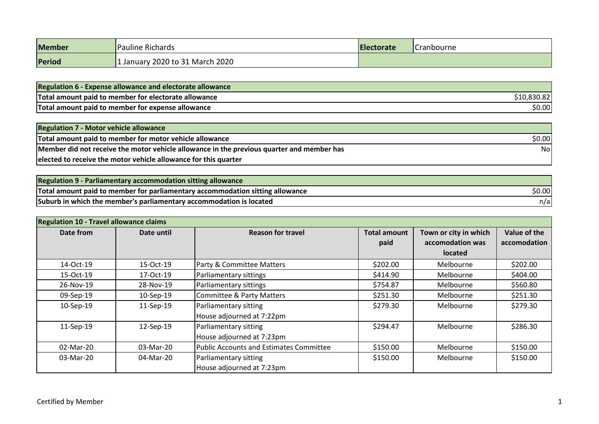| <b>Member</b> | Pauline Richards<br><b>Electorate</b> |  | <b>Cranbourne</b> |
|---------------|---------------------------------------|--|-------------------|
| Period        | January 2020 to 31 March 2020         |  |                   |

| <b>Regulation 6 - Expense allowance and electorate allowance</b> |             |
|------------------------------------------------------------------|-------------|
| Total amount paid to member for electorate allowance             | \$10,830.82 |
| Total amount paid to member for expense allowance                | \$0.00      |

| <b>Regulation 7 - Motor vehicle allowance</b>                                             |        |
|-------------------------------------------------------------------------------------------|--------|
| Total amount paid to member for motor vehicle allowance                                   | \$0.00 |
| Member did not receive the motor vehicle allowance in the previous quarter and member has | Nol    |
| elected to receive the motor vehicle allowance for this quarter                           |        |

| <b>Regulation 9 - Parliamentary accommodation sitting allowance</b>           |        |
|-------------------------------------------------------------------------------|--------|
| Total amount paid to member for parliamentary accommodation sitting allowance | \$0.00 |
| Suburb in which the member's parliamentary accommodation is located           | n/a    |

| <b>Regulation 10 - Travel allowance claims</b> |            |                                                    |                             |                                                             |                              |
|------------------------------------------------|------------|----------------------------------------------------|-----------------------------|-------------------------------------------------------------|------------------------------|
| Date from                                      | Date until | <b>Reason for travel</b>                           | <b>Total amount</b><br>paid | Town or city in which<br>accomodation was<br><b>located</b> | Value of the<br>accomodation |
| 14-Oct-19                                      | 15-Oct-19  | <b>Party &amp; Committee Matters</b>               | \$202.00                    | Melbourne                                                   | \$202.00                     |
| 15-Oct-19                                      | 17-Oct-19  | Parliamentary sittings                             | \$414.90                    | Melbourne                                                   | \$404.00                     |
| 26-Nov-19                                      | 28-Nov-19  | Parliamentary sittings                             | \$754.87                    | Melbourne                                                   | \$560.80                     |
| 09-Sep-19                                      | 10-Sep-19  | <b>Committee &amp; Party Matters</b>               | \$251.30                    | Melbourne                                                   | \$251.30                     |
| 10-Sep-19                                      | 11-Sep-19  | Parliamentary sitting<br>House adjourned at 7:22pm | \$279.30                    | Melbourne                                                   | \$279.30                     |
| 11-Sep-19                                      | 12-Sep-19  | Parliamentary sitting<br>House adjourned at 7:23pm | \$294.47                    | Melbourne                                                   | \$286.30                     |
| 02-Mar-20                                      | 03-Mar-20  | Public Accounts and Estimates Committee            | \$150.00                    | Melbourne                                                   | \$150.00                     |
| 03-Mar-20                                      | 04-Mar-20  | Parliamentary sitting<br>House adjourned at 7:23pm | \$150.00                    | Melbourne                                                   | \$150.00                     |